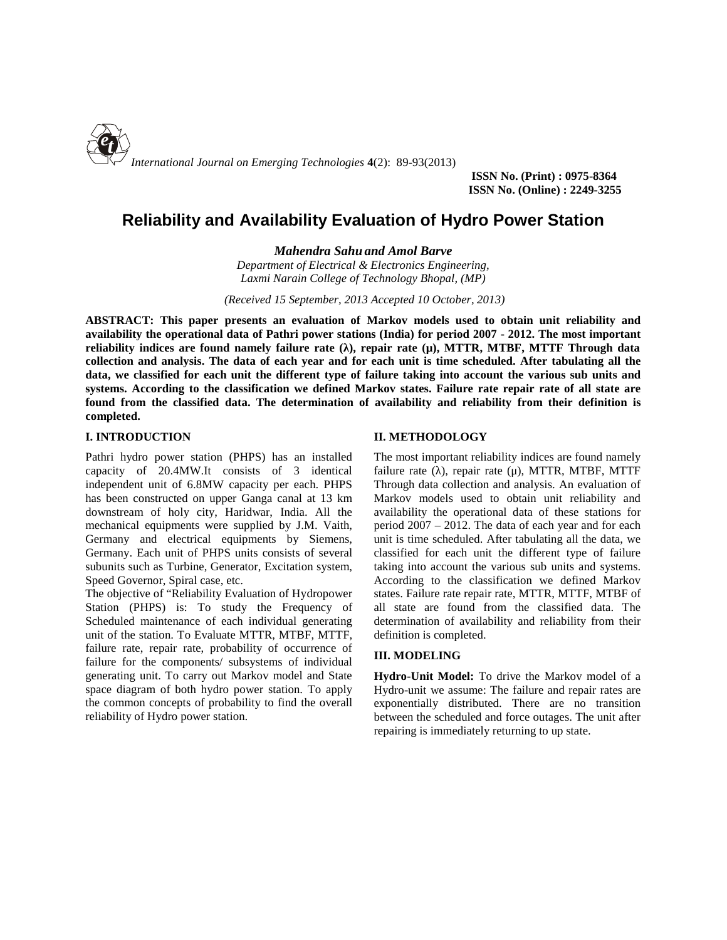

**ISSN No. (Print) : 0975-8364 ISSN No. (Online) : 2249-3255**

# **Reliability and Availability Evaluation of Hydro Power Station**

*Mahendra Sahu and Amol Barve*

*Department of Electrical & Electronics Engineering, Laxmi Narain College of Technology Bhopal, (MP)*

*(Received 15 September, 2013 Accepted 10 October, 2013)*

**ABSTRACT: This paper presents an evaluation of Markov models used to obtain unit reliability and availability the operational data of Pathri power stations (India) for period 2007 - 2012. The most important reliability indices are found namely failure rate (λ), repair rate (μ), MTTR, MTBF, MTTF Through data collection and analysis. The data of each year and for each unit is time scheduled. After tabulating all the data, we classified for each unit the different type of failure taking into account the various sub units and systems. According to the classification we defined Markov states. Failure rate repair rate of all state are found from the classified data. The determination of availability and reliability from their definition is completed.**

# **I. INTRODUCTION**

Pathri hydro power station (PHPS) has an installed capacity of 20.4MW.It consists of 3 identical independent unit of 6.8MW capacity per each. PHPS has been constructed on upper Ganga canal at 13 km downstream of holy city, Haridwar, India. All the mechanical equipments were supplied by J.M. Vaith, Germany and electrical equipments by Siemens, Germany. Each unit of PHPS units consists of several subunits such as Turbine, Generator, Excitation system, Speed Governor, Spiral case, etc.

The objective of "Reliability Evaluation of Hydropower Station (PHPS) is: To study the Frequency of Scheduled maintenance of each individual generating unit of the station. To Evaluate MTTR, MTBF, MTTF, failure rate, repair rate, probability of occurrence of failure for the components/ subsystems of individual generating unit. To carry out Markov model and State space diagram of both hydro power station. To apply the common concepts of probability to find the overall reliability of Hydro power station.

# **II. METHODOLOGY**

The most important reliability indices are found namely failure rate  $($ ), repair rate  $(µ)$ , MTTR, MTBF, MTTF Through data collection and analysis. An evaluation of Markov models used to obtain unit reliability and availability the operational data of these stations for period 2007 – 2012. The data of each year and for each unit is time scheduled. After tabulating all the data, we classified for each unit the different type of failure taking into account the various sub units and systems. According to the classification we defined Markov states. Failure rate repair rate, MTTR, MTTF, MTBF of all state are found from the classified data. The determination of availability and reliability from their definition is completed.

# **III. MODELING**

**Hydro-Unit Model:** To drive the Markov model of a Hydro-unit we assume: The failure and repair rates are exponentially distributed. There are no transition between the scheduled and force outages. The unit after repairing is immediately returning to up state.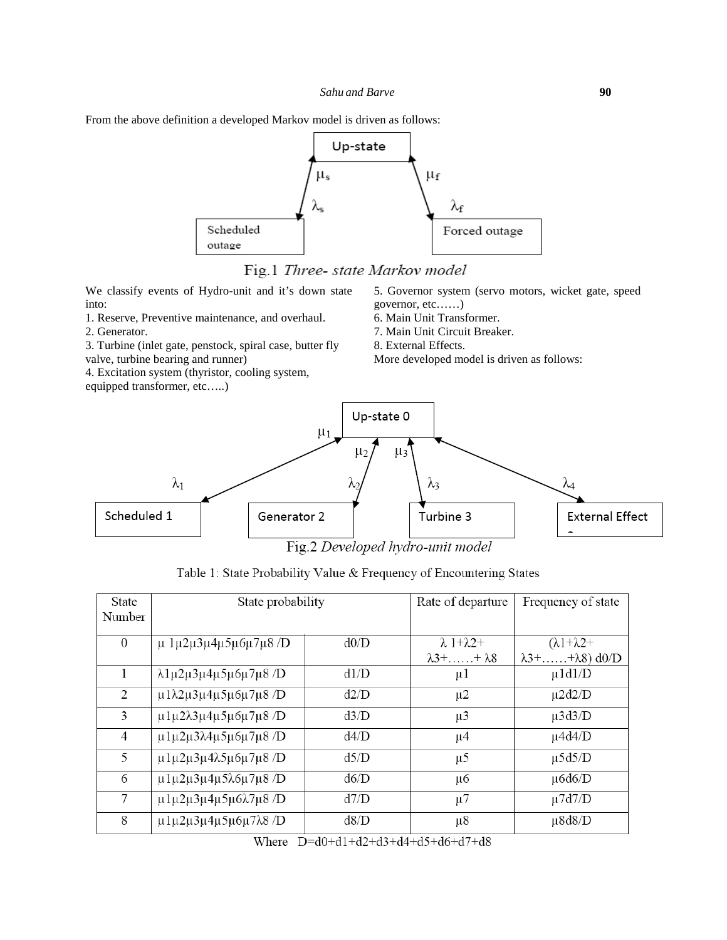

Fig.1 Three- state Markov model

We classify events of Hydro-unit and it's down state into:

1. Reserve, Preventive maintenance, and overhaul. 2. Generator.

3. Turbine (inlet gate, penstock, spiral case, butter fly valve, turbine bearing and runner)

4. Excitation system (thyristor, cooling system, equipped transformer, etc…..)

5. Governor system (servo motors, wicket gate, speed governor, etc……)

6. Main Unit Transformer.

7. Main Unit Circuit Breaker.

8. External Effects.

More developed model is driven as follows:



Fig.2 Developed hydro-unit model

| State    | State probability                                                  |      | Rate of departure         | Frequency of state              |
|----------|--------------------------------------------------------------------|------|---------------------------|---------------------------------|
| Number   |                                                                    |      |                           |                                 |
|          |                                                                    |      |                           |                                 |
| $\theta$ | $\mu$ 1 $\mu$ 2 $\mu$ 3 $\mu$ 4 $\mu$ 5 $\mu$ 6 $\mu$ 7 $\mu$ 8 /D | d0/D | $\lambda$ 1+ $\lambda$ 2+ | $(\lambda 1 + \lambda 2 +$      |
|          |                                                                    |      | $\lambda$ 3++ $\lambda$ 8 | $\lambda$ 3++ $\lambda$ 8) d0/D |
| 1        | λ1μ2μ3μ4μ5μ6μ7μ8/D                                                 | d1/D | $\mu$ 1                   | $\mu$ 1d1/D                     |
| 2        | μ1λ2μ3μ4μ5μ6μ7μ8 /D                                                | d2/D | $\mu$ 2                   | $\mu$ 2d2/D                     |
| 3        | $\mu$ 1 $\mu$ 2λ3 $\mu$ 4 $\mu$ 5 $\mu$ 6 $\mu$ 7 $\mu$ 8/D        | d3/D | $\mu$ 3                   | $\mu$ 3d3/D                     |
| 4        | μ1μ2μ3λ4μ5μ6μ7μ8/D                                                 | d4/D | $\mu$ 4                   | $\mu$ 4d4/D                     |
| 5        | $\mu$ 1 $\mu$ 2 $\mu$ 3 $\mu$ 4λ5 $\mu$ 6 $\mu$ 7 $\mu$ 8/D        | d5/D | $\mu$ 5                   | $\mu$ 5d5/D                     |
| 6        | μ1μ2μ3μ4μ5λ6μ7μ8 /D                                                | d6/D | μ6                        | $\mu$ 6d6/D                     |
| $\tau$   | μ1μ2μ3μ4μ5μ6λ7μ8/D                                                 | d7/D | $\mu$ 7                   | $\mu$ 7d7/D                     |
| 8        | μ1μ2μ3μ4μ5μ6μ7λ8/D                                                 | d8/D | $\mu$ 8                   | $\mu$ 8d8/D                     |

Table 1: State Probability Value & Frequency of Encountering States

Where  $D=d0+d1+d2+d3+d4+d5+d6+d7+d8$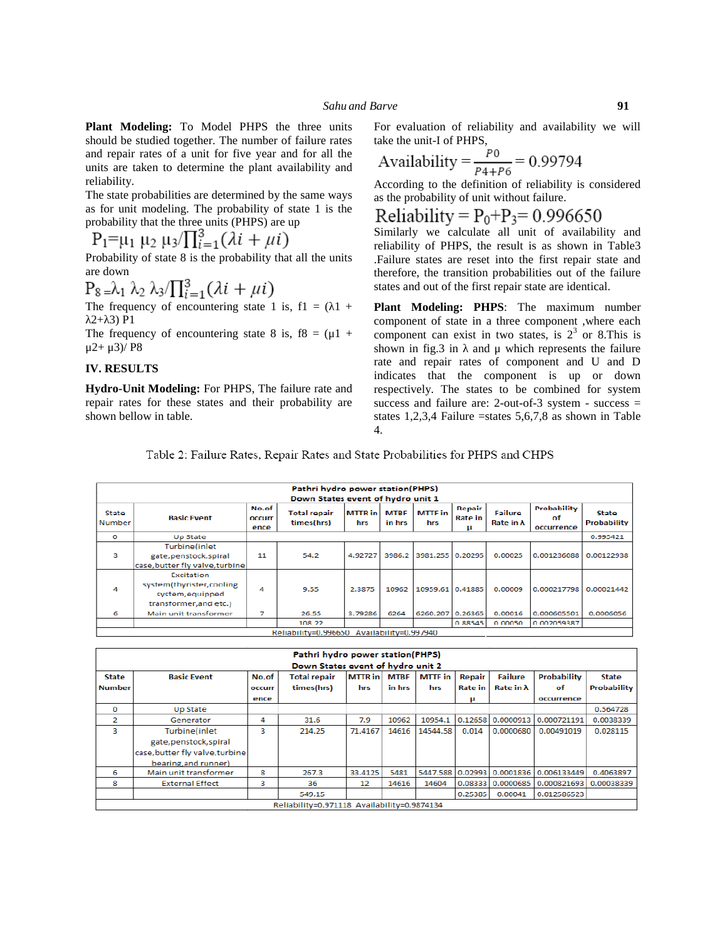**Plant Modeling:** To Model PHPS the three units should be studied together. The number of failure rates and repair rates of a unit for five year and for all the units are taken to determine the plant availability and reliability.

The state probabilities are determined by the same ways as for unit modeling. The probability of state 1 is the<br>
Reliability =  $P_0+P_3=0.996650$ <br>
Reliability =  $P_0+P_3=0.996650$ probability that the three units (PHPS) are up

 $P_1 = \mu_1 \mu_2 \mu_3 / \prod_{i=1}^3 (\lambda i + \mu i)$ 

Probability of state 8 is the probability that all the units are down

$$
P_8 = \lambda_1 \lambda_2 \lambda_3 / \prod_{i=1}^3 (\lambda i + \mu i)
$$

The frequency of encountering state 1 is,  $f1 = (1 +$  $2+3$ ) P1

The frequency of encountering state 8 is,  $f8 = (\mu 1 +$  $μ2+ μ3)/ P8$ 

#### **IV. RESULTS**

**Hydro-Unit Modeling:** For PHPS, The failure rate and repair rates for these states and their probability are shown bellow in table.

For evaluation of reliability and availability we will take the unit-I of PHPS,

$$
\\\text{Availability} = \frac{P0}{P4 + P6} = 0.99794
$$

According to the definition of reliability is considered as the probability of unit without failure.

Similarly we calculate all unit of availability and reliability of PHPS, the result is as shown in Table3 .Failure states are reset into the first repair state and therefore, the transition probabilities out of the failure states and out of the first repair state are identical.

**Plant Modeling: PHPS**: The maximum number component of state in a three component ,where each component can exist in two states, is  $2<sup>3</sup>$  or 8.This is shown in fig.3 in and  $\mu$  which represents the failure rate and repair rates of component and U and D indicates that the component is up or down respectively. The states to be combined for system success and failure are: 2-out-of-3 system - success = states 1,2,3,4 Failure =states 5,6,7,8 as shown in Table 4.

Table 2: Failure Rates, Repair Rates and State Probabilities for PHPS and CHPS

|                  | Pathri hydro power station(PHPS)<br>Down States event of hydro unit 1                |                         |                                   |                |                       |                       |                               |                      |                                 |                             |
|------------------|--------------------------------------------------------------------------------------|-------------------------|-----------------------------------|----------------|-----------------------|-----------------------|-------------------------------|----------------------|---------------------------------|-----------------------------|
| State<br>Number  | <b>Rasic Event</b>                                                                   | No.of<br>occurr<br>ence | <b>Total repair</b><br>times(hrs) | MTTR in<br>hrs | <b>MTBF</b><br>in hrs | <b>MTTF</b> in<br>hrs | Repair<br><b>Rate in</b><br>μ | Failure<br>Rate in A | Probability<br>Ωf<br>occurrence | State<br><b>Probability</b> |
| $\circ$          | Up State                                                                             |                         |                                   |                |                       |                       |                               |                      |                                 | 0.995421                    |
| 3                | Turbine(inlet<br>gate, penstock, spiral<br>case, butter fly valve, turbine           | 11                      | 54.2                              | 4.92727        | 3986.2                | 3981.255 0.20295      |                               | 0.00025              | 0.001236088                     | 0.00122938                  |
| $\boldsymbol{A}$ | Excitation<br>system(thyrister,cooling<br>system, equipped<br>transformer, and etc.) | 4                       | 9.55                              | 2.3875         | 10962                 | 10959.61 0.41885      |                               | 0.00009              | 0.000217798                     | 0.00021442                  |
| 6                | Main unit transformer                                                                | 7                       | 26.55                             | 3.79286        | 6264                  | 6260.207              | 0.26365                       | 0.00016              | 0.000605501                     | 0.0006056                   |
|                  |                                                                                      |                         | 108 22                            |                |                       |                       | 0.88545                       | n nnnsn              | 0.002059387                     |                             |
|                  | Reliability=0.996650 Availability=0.997940                                           |                         |                                   |                |                       |                       |                               |                      |                                 |                             |

|                                             | Pathri hydro power station(PHPS) |               |                                   |                |             |                |                |                   |                    |              |
|---------------------------------------------|----------------------------------|---------------|-----------------------------------|----------------|-------------|----------------|----------------|-------------------|--------------------|--------------|
|                                             |                                  |               | Down States event of hydro unit 2 |                |             |                |                |                   |                    |              |
| <b>State</b>                                | <b>Basic Event</b>               | No.of         | <b>Total repair</b>               | <b>MTTR</b> in | <b>MTBF</b> | <b>MTTF</b> in | Repair         | <b>Failure</b>    | <b>Probability</b> | <b>State</b> |
| <b>Number</b>                               |                                  | <b>OCCUIT</b> | times(hrs)                        | hrs            | in hrs      | hrs            | <b>Rate</b> in | Rate in $\lambda$ | $\sigma$ f         | Probability  |
|                                             |                                  | ence          |                                   |                |             |                | μ              |                   | occurrence         |              |
| $\bf{0}$                                    | <b>Up State</b>                  |               |                                   |                |             |                |                |                   |                    | 0.564728     |
| 2                                           | Generator                        | 4             | 31.6                              | 7.9            | 10962       | 10954.1        | 0.12658        | 0.0000913         | 0.000721191        | 0.0038339    |
| 3                                           | Turbine(inlet                    | 3             | 214.25                            | 71.4167        | 14616       | 14544.58       | 0.014          | 0.0000680         | 0.00491019         | 0.028115     |
|                                             | gate, penstock, spiral           |               |                                   |                |             |                |                |                   |                    |              |
|                                             | case, butter fly valve, turbine  |               |                                   |                |             |                |                |                   |                    |              |
|                                             | bearing, and runner)             |               |                                   |                |             |                |                |                   |                    |              |
| 6                                           | Main unit transformer            | 8             | 267.3                             | 33.4125        | 5481        | 5447.588       | 0.02993        | 0.0001836         | 0.006133449        | 0.4063897    |
| 8                                           | <b>External Effect</b>           | 3             | 36                                | 12             | 14616       | 14604          | 0.08333        | 0.0000685         | 0.000821693        | 0.00038339   |
|                                             |                                  |               | 549.15                            |                |             |                | 0.25385        | 0.00041           | 0.012586523        |              |
| Reliability=0.971118 Availability=0.9874134 |                                  |               |                                   |                |             |                |                |                   |                    |              |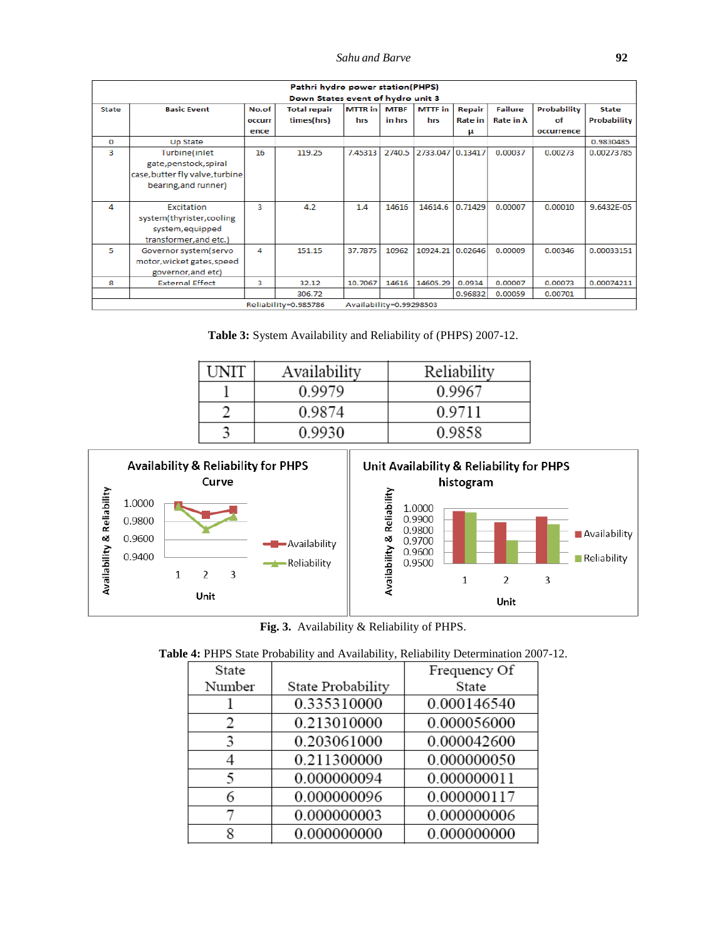*Sahu and Barve* **92**

|                                                 | Pathri hydro power station(PHPS)<br>Down States event of hydro unit 3 |               |                     |              |        |                  |         |                   |                    |                    |
|-------------------------------------------------|-----------------------------------------------------------------------|---------------|---------------------|--------------|--------|------------------|---------|-------------------|--------------------|--------------------|
|                                                 |                                                                       |               |                     |              |        |                  |         |                   |                    |                    |
| State                                           | <b>Rasic Event</b>                                                    | No.of         | <b>Total repair</b> | MTTR in MTBF |        | <b>MTTF</b> in   | Repair  | <b>Failure</b>    | <b>Probability</b> | <b>State</b>       |
|                                                 |                                                                       | <b>OCCULL</b> | times(hrs)          | hrs          | in hrs | hrs              | Rate in | Rate in $\lambda$ | of                 | <b>Probability</b> |
|                                                 |                                                                       | ence          |                     |              |        |                  | μ       |                   | occurrence         |                    |
| $\Omega$                                        | Up State                                                              |               |                     |              |        |                  |         |                   |                    | 0.9830485          |
| 3                                               | Turbine(inlet                                                         | 16            | 119.25              | 7.45313      | 2740.5 | 2733.047 0.13417 |         | 0.00037           | 0.00273            | 0.00273785         |
|                                                 | gate, penstock, spiral                                                |               |                     |              |        |                  |         |                   |                    |                    |
|                                                 | case, butter fly valve, turbine                                       |               |                     |              |        |                  |         |                   |                    |                    |
|                                                 | bearing, and runner)                                                  |               |                     |              |        |                  |         |                   |                    |                    |
|                                                 |                                                                       |               |                     |              |        |                  |         |                   |                    |                    |
| 4                                               | Excitation                                                            | 3             | 4.2                 | 1.4          | 14616  | 14614.6          | 0.71429 | 0.00007           | 0.00010            | 9.6432E-05         |
|                                                 | system(thyrister,cooling                                              |               |                     |              |        |                  |         |                   |                    |                    |
|                                                 | system, equipped                                                      |               |                     |              |        |                  |         |                   |                    |                    |
|                                                 | transformer, and etc.)                                                |               |                     |              |        |                  |         |                   |                    |                    |
| 5.                                              | Governor system(servo                                                 | 4             | 151.15              | 37.7875      | 10962  | 10924.21 0.02646 |         | 0.00009           | 0.00346            | 0.00033151         |
|                                                 | motor, wicket gates, speed                                            |               |                     |              |        |                  |         |                   |                    |                    |
|                                                 | governor, and etc)                                                    |               |                     |              |        |                  |         |                   |                    |                    |
| 8                                               | <b>External Effect</b>                                                | з             | 32.12               | 10.7067      | 14616  | 14605.29         | 0.0934  | 0.00007           | 0.00073            | 0.00074211         |
|                                                 |                                                                       |               | 306.72              |              |        |                  | 0.96832 | 0.00059           | 0.00701            |                    |
| Availability=0.99298503<br>Reliability=0.985786 |                                                                       |               |                     |              |        |                  |         |                   |                    |                    |

**Table 3:** System Availability and Reliability of (PHPS) 2007-12.

| I INIT | Availability | Reliability |
|--------|--------------|-------------|
|        | 0.9979       | 0.9967      |
|        | 0.9874       | 0.9711      |
|        | 0.9930       | 0.9858      |



**Fig. 3.** Availability & Reliability of PHPS.

|  | Table 4: PHPS State Probability and Availability, Reliability Determination 2007-12. |  |  |
|--|--------------------------------------------------------------------------------------|--|--|
|  |                                                                                      |  |  |

| State  |                   | Frequency Of |
|--------|-------------------|--------------|
| Number | State Probability | State        |
|        | 0.335310000       | 0.000146540  |
| 2      | 0.213010000       | 0.000056000  |
| 3      | 0.203061000       | 0.000042600  |
|        | 0.211300000       | 0.000000050  |
| 5      | 0.000000094       | 0.000000011  |
| 6      | 0.000000096       | 0.000000117  |
|        | 0.000000003       | 0.000000006  |
| Q      | 0.000000000       | 0.000000000  |